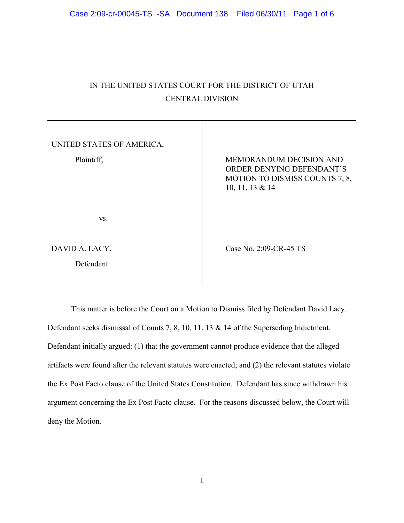# IN THE UNITED STATES COURT FOR THE DISTRICT OF UTAH CENTRAL DIVISION

| UNITED STATES OF AMERICA, |                                                                                                                  |
|---------------------------|------------------------------------------------------------------------------------------------------------------|
| Plaintiff,                | <b>MEMORANDUM DECISION AND</b><br>ORDER DENYING DEFENDANT'S<br>MOTION TO DISMISS COUNTS 7, 8,<br>10, 11, 13 & 14 |
| VS.                       |                                                                                                                  |
| DAVID A. LACY,            | Case No. 2:09-CR-45 TS                                                                                           |
| Defendant.                |                                                                                                                  |

This matter is before the Court on a Motion to Dismiss filed by Defendant David Lacy. Defendant seeks dismissal of Counts 7, 8, 10, 11, 13 & 14 of the Superseding Indictment. Defendant initially argued: (1) that the government cannot produce evidence that the alleged artifacts were found after the relevant statutes were enacted; and (2) the relevant statutes violate the Ex Post Facto clause of the United States Constitution. Defendant has since withdrawn his argument concerning the Ex Post Facto clause. For the reasons discussed below, the Court will deny the Motion.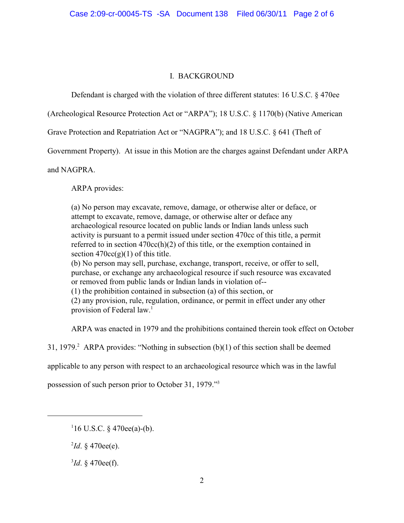# I. BACKGROUND

Defendant is charged with the violation of three different statutes: 16 U.S.C. § 470ee

(Archeological Resource Protection Act or "ARPA"); 18 U.S.C. § 1170(b) (Native American

Grave Protection and Repatriation Act or "NAGPRA"); and 18 U.S.C. § 641 (Theft of

Government Property). At issue in this Motion are the charges against Defendant under ARPA

and NAGPRA.

ARPA provides:

(a) No person may excavate, remove, damage, or otherwise alter or deface, or attempt to excavate, remove, damage, or otherwise alter or deface any archaeological resource located on public lands or Indian lands unless such activity is pursuant to a permit issued under section 470cc of this title, a permit referred to in section 470cc(h)(2) of this title, or the exemption contained in section  $470cc(g)(1)$  of this title. (b) No person may sell, purchase, exchange, transport, receive, or offer to sell, purchase, or exchange any archaeological resource if such resource was excavated or removed from public lands or Indian lands in violation of-- (1) the prohibition contained in subsection (a) of this section, or (2) any provision, rule, regulation, ordinance, or permit in effect under any other

provision of Federal law.<sup>1</sup>

ARPA was enacted in 1979 and the prohibitions contained therein took effect on October

31, 1979. ARPA provides: "Nothing in subsection  $(b)(1)$  of this section shall be deemed

applicable to any person with respect to an archaeological resource which was in the lawful

possession of such person prior to October 31, 1979."<sup>3</sup>

 $^{2}Id. \S$  470ee(e).

 $^{3}Id.$  § 470ee(f).

 $116$  U.S.C. § 470ee(a)-(b).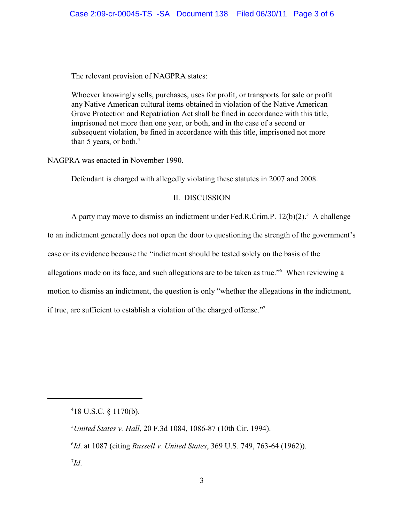The relevant provision of NAGPRA states:

Whoever knowingly sells, purchases, uses for profit, or transports for sale or profit any Native American cultural items obtained in violation of the Native American Grave Protection and Repatriation Act shall be fined in accordance with this title, imprisoned not more than one year, or both, and in the case of a second or subsequent violation, be fined in accordance with this title, imprisoned not more than 5 years, or both. $4$ 

NAGPRA was enacted in November 1990.

Defendant is charged with allegedly violating these statutes in 2007 and 2008.

### II. DISCUSSION

A party may move to dismiss an indictment under Fed.R.Crim.P.  $12(b)(2)$ .<sup>5</sup> A challenge

to an indictment generally does not open the door to questioning the strength of the government's

case or its evidence because the "indictment should be tested solely on the basis of the

allegations made on its face, and such allegations are to be taken as true."<sup>6</sup> When reviewing a

motion to dismiss an indictment, the question is only "whether the allegations in the indictment,

if true, are sufficient to establish a violation of the charged offense."<sup>7</sup>

 $418$  U.S.C.  $8$  1170(b).

<sup>&</sup>lt;sup>5</sup> United States v. Hall, 20 F.3d 1084, 1086-87 (10th Cir. 1994).

*Id*. at 1087 (citing *Russell v. United States*, 369 U.S. 749, 763-64 (1962)). 6

*Id*. 7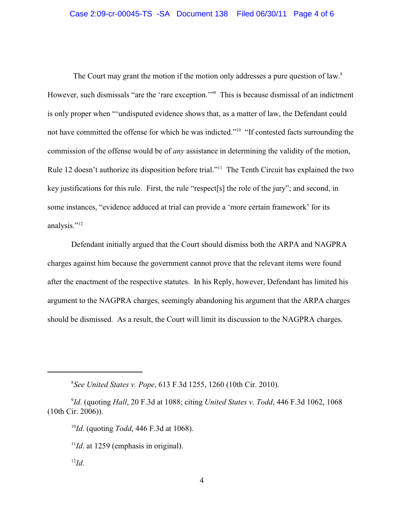## Case 2:09-cr-00045-TS -SA Document 138 Filed 06/30/11 Page 4 of 6

The Court may grant the motion if the motion only addresses a pure question of law.<sup>8</sup> However, such dismissals "are the 'rare exception."<sup>9</sup> This is because dismissal of an indictment is only proper when "'undisputed evidence shows that, as a matter of law, the Defendant could not have committed the offense for which he was indicted."<sup>10</sup> "If contested facts surrounding the commission of the offense would be of *any* assistance in determining the validity of the motion, Rule 12 doesn't authorize its disposition before trial."<sup>11</sup> The Tenth Circuit has explained the two key justifications for this rule. First, the rule "respect[s] the role of the jury"; and second, in some instances, "evidence adduced at trial can provide a 'more certain framework' for its analysis."<sup>12</sup>

Defendant initially argued that the Court should dismiss both the ARPA and NAGPRA charges against him because the government cannot prove that the relevant items were found after the enactment of the respective statutes. In his Reply, however, Defendant has limited his argument to the NAGPRA charges, seemingly abandoning his argument that the ARPA charges should be dismissed. As a result, the Court will limit its discussion to the NAGPRA charges.

*See United States v. Pope*, 613 F.3d 1255, 1260 (10th Cir. 2010). <sup>8</sup>

<sup>9</sup>Id. (quoting *Hall*, 20 F.3d at 1088; citing *United States v. Todd*, 446 F.3d 1062, 1068 (10th Cir. 2006)).

<sup>&</sup>lt;sup>10</sup>*Id*. (quoting *Todd*, 446 F.3d at 1068).

 $I^1Id$ . at 1259 (emphasis in original).

 $^{12}Id.$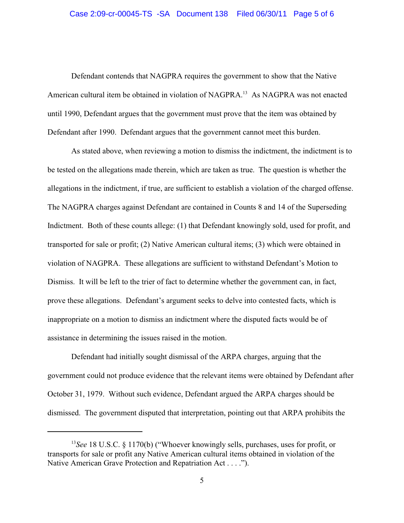Defendant contends that NAGPRA requires the government to show that the Native American cultural item be obtained in violation of NAGPRA.<sup>13</sup> As NAGPRA was not enacted until 1990, Defendant argues that the government must prove that the item was obtained by Defendant after 1990. Defendant argues that the government cannot meet this burden.

As stated above, when reviewing a motion to dismiss the indictment, the indictment is to be tested on the allegations made therein, which are taken as true. The question is whether the allegations in the indictment, if true, are sufficient to establish a violation of the charged offense. The NAGPRA charges against Defendant are contained in Counts 8 and 14 of the Superseding Indictment. Both of these counts allege: (1) that Defendant knowingly sold, used for profit, and transported for sale or profit; (2) Native American cultural items; (3) which were obtained in violation of NAGPRA. These allegations are sufficient to withstand Defendant's Motion to Dismiss. It will be left to the trier of fact to determine whether the government can, in fact, prove these allegations. Defendant's argument seeks to delve into contested facts, which is inappropriate on a motion to dismiss an indictment where the disputed facts would be of assistance in determining the issues raised in the motion.

Defendant had initially sought dismissal of the ARPA charges, arguing that the government could not produce evidence that the relevant items were obtained by Defendant after October 31, 1979. Without such evidence, Defendant argued the ARPA charges should be dismissed. The government disputed that interpretation, pointing out that ARPA prohibits the

<sup>&</sup>lt;sup>13</sup>See 18 U.S.C. § 1170(b) ("Whoever knowingly sells, purchases, uses for profit, or transports for sale or profit any Native American cultural items obtained in violation of the Native American Grave Protection and Repatriation Act . . . .").